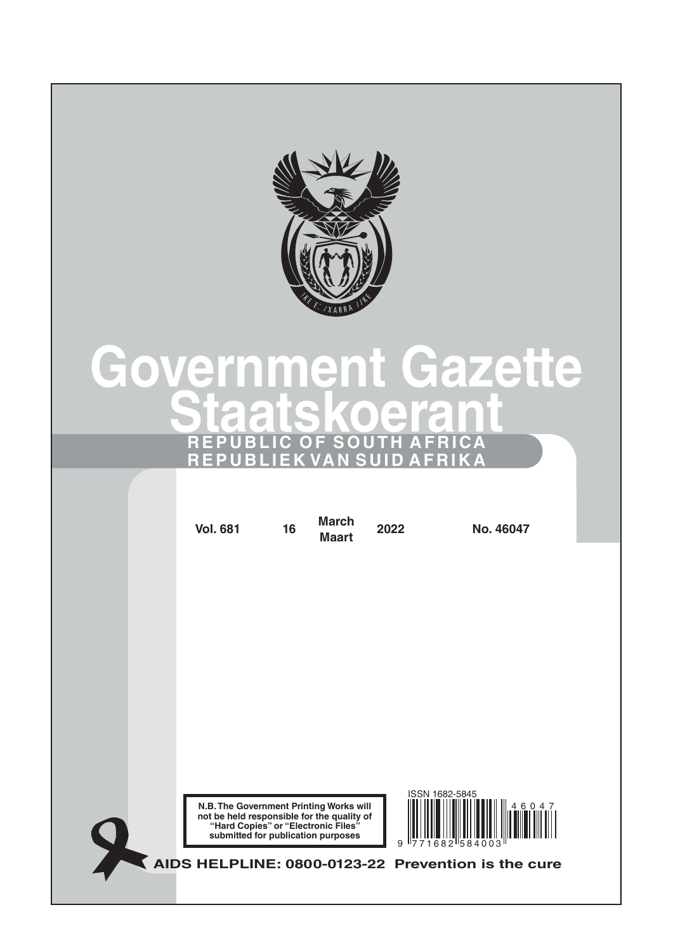

# **Government Gazette Staatskoerant REPUBLIC OF SOUTH AFRICA REPUBLIEK VAN SUID AFRIKA**

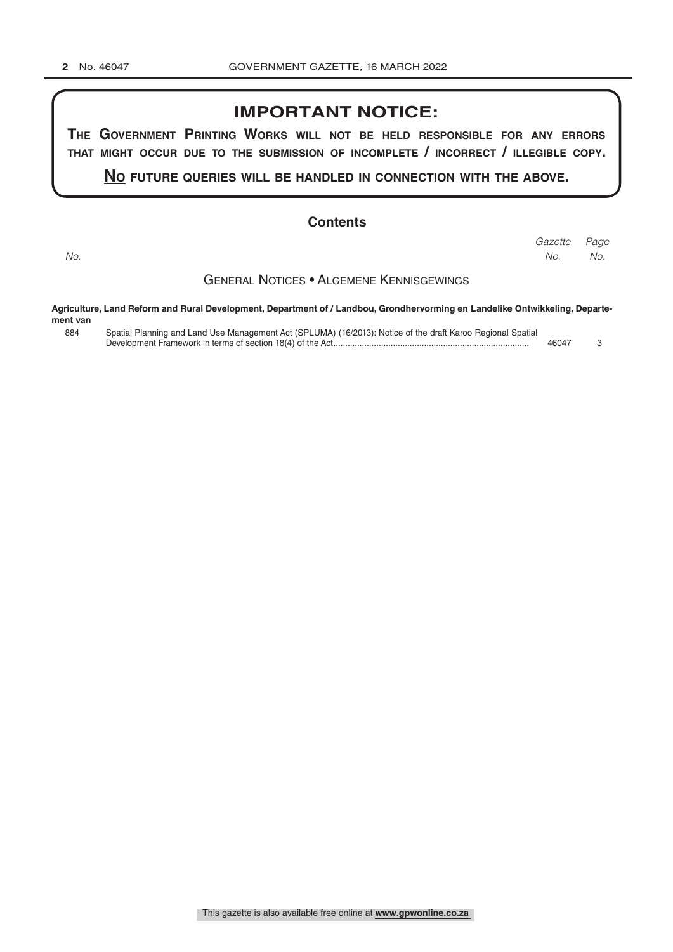## **IMPORTANT NOTICE:**

**The GovernmenT PrinTinG Works Will noT be held resPonsible for any errors ThaT miGhT occur due To The submission of incomPleTe / incorrecT / illeGible coPy.**

**no fuTure queries Will be handled in connecTion WiTh The above.**

#### **Contents**

*Page Gazette No. No. No.*

General Notices • Algemene Kennisgewings

**Agriculture, Land Reform and Rural Development, Department of / Landbou, Grondhervorming en Landelike Ontwikkeling, Departement van**

| ,,,,,,,,, |                                                                                                             |       |  |
|-----------|-------------------------------------------------------------------------------------------------------------|-------|--|
| 884       | Spatial Planning and Land Use Management Act (SPLUMA) (16/2013): Notice of the draft Karoo Regional Spatial |       |  |
|           |                                                                                                             | 46047 |  |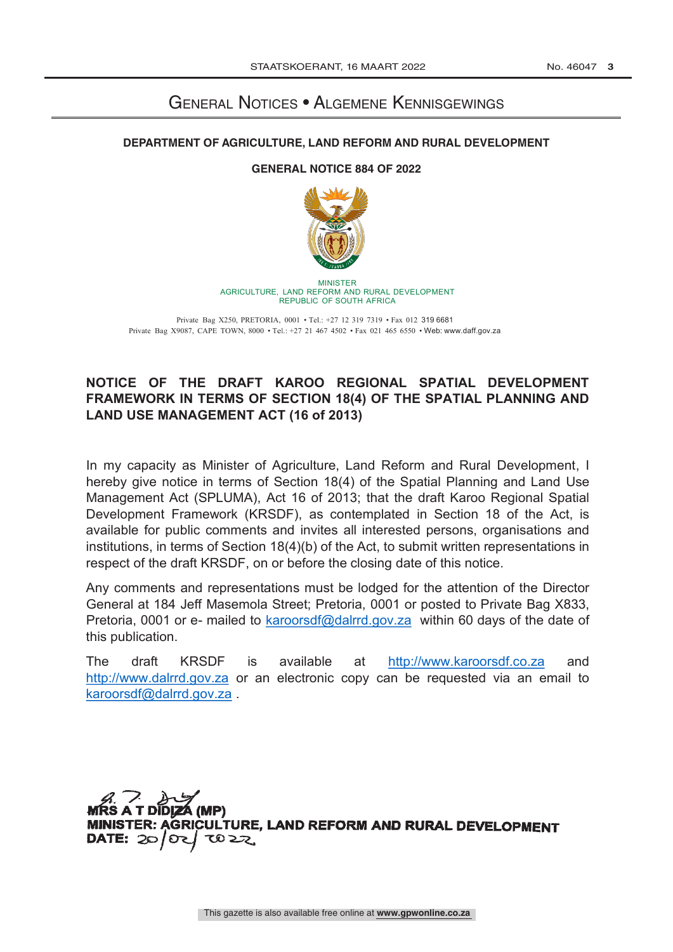# General Notices • Algemene Kennisgewings

## **DEPARTMENT OF AGRICULTURE, LAND REFORM AND RURAL DEVELOPMENT**

## **GENERAL NOTICE 884 OF 2022**



MINISTER AGRICULTURE, LAND REFORM AND RURAL DEVELOPMENT REPUBLIC OF SOUTH AFRICA

Private Bag X250, PRETORIA, 0001 • Tel.: +27 12 319 7319 • Fax 012 319 6681 Private Bag X9087, CAPE TOWN, 8000 • Tel.: +27 21 467 4502 • Fax 021 465 6550 • Web: www.daff.gov.za

## **NOTICE OF THE DRAFT KAROO REGIONAL SPATIAL DEVELOPMENT FRAMEWORK IN TERMS OF SECTION 18(4) OF THE SPATIAL PLANNING AND LAND USE MANAGEMENT ACT (16 of 2013)**

In my capacity as Minister of Agriculture, Land Reform and Rural Development, I hereby give notice in terms of Section 18(4) of the Spatial Planning and Land Use Management Act (SPLUMA), Act 16 of 2013; that the draft Karoo Regional Spatial Development Framework (KRSDF), as contemplated in Section 18 of the Act, is available for public comments and invites all interested persons, organisations and institutions, in terms of Section 18(4)(b) of the Act, to submit written representations in respect of the draft KRSDF, on or before the closing date of this notice.

Any comments and representations must be lodged for the attention of the Director General at 184 Jeff Masemola Street; Pretoria, 0001 or posted to Private Bag X833, Pretoria, 0001 or e- mailed to karoorsdf@dalrrd.gov.za within 60 days of the date of this publication.

The draft KRSDF is available at http://www.karoorsdf.co.za and http://www.dalrrd.gov.za or an electronic copy can be requested via an email to karoorsdf@dalrrd.gov.za .

Á (MP) **GRICULTURE, LAND REFORM AND RURAL DEVELOPMENT** TO 22 DATE:  $20$